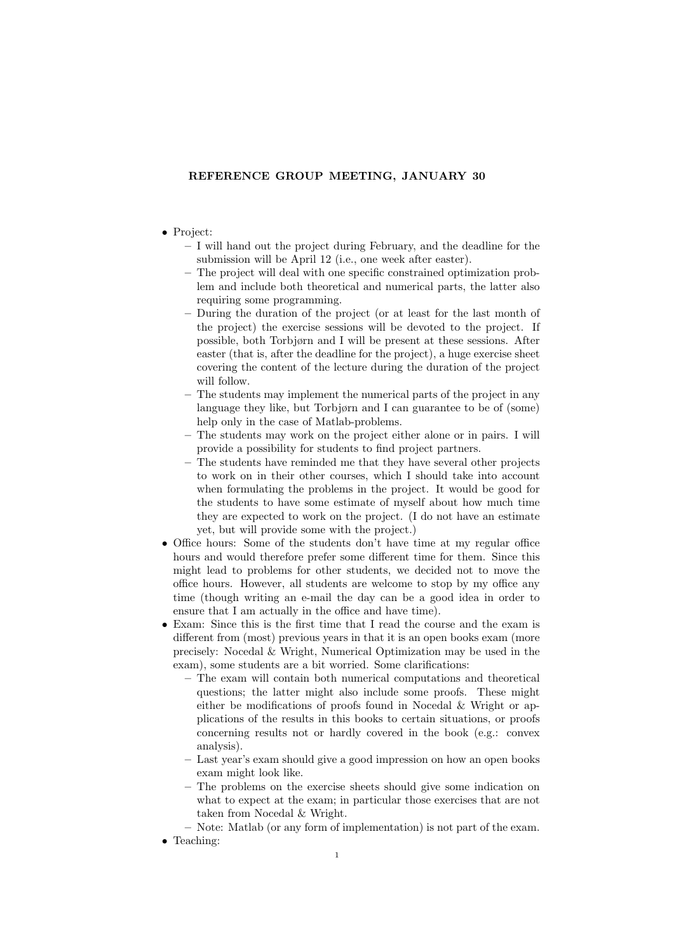## REFERENCE GROUP MEETING, JANUARY 30

## • Project:

- I will hand out the project during February, and the deadline for the submission will be April 12 (i.e., one week after easter).
- The project will deal with one specific constrained optimization problem and include both theoretical and numerical parts, the latter also requiring some programming.
- During the duration of the project (or at least for the last month of the project) the exercise sessions will be devoted to the project. If possible, both Torbjørn and I will be present at these sessions. After easter (that is, after the deadline for the project), a huge exercise sheet covering the content of the lecture during the duration of the project will follow.
- The students may implement the numerical parts of the project in any language they like, but Torbjørn and I can guarantee to be of (some) help only in the case of Matlab-problems.
- The students may work on the project either alone or in pairs. I will provide a possibility for students to find project partners.
- The students have reminded me that they have several other projects to work on in their other courses, which I should take into account when formulating the problems in the project. It would be good for the students to have some estimate of myself about how much time they are expected to work on the project. (I do not have an estimate yet, but will provide some with the project.)
- Office hours: Some of the students don't have time at my regular office hours and would therefore prefer some different time for them. Since this might lead to problems for other students, we decided not to move the office hours. However, all students are welcome to stop by my office any time (though writing an e-mail the day can be a good idea in order to ensure that I am actually in the office and have time).
- Exam: Since this is the first time that I read the course and the exam is different from (most) previous years in that it is an open books exam (more precisely: Nocedal & Wright, Numerical Optimization may be used in the exam), some students are a bit worried. Some clarifications:
	- The exam will contain both numerical computations and theoretical questions; the latter might also include some proofs. These might either be modifications of proofs found in Nocedal & Wright or applications of the results in this books to certain situations, or proofs concerning results not or hardly covered in the book (e.g.: convex analysis).
	- Last year's exam should give a good impression on how an open books exam might look like.
	- The problems on the exercise sheets should give some indication on what to expect at the exam; in particular those exercises that are not taken from Nocedal & Wright.
	- Note: Matlab (or any form of implementation) is not part of the exam.
- Teaching: